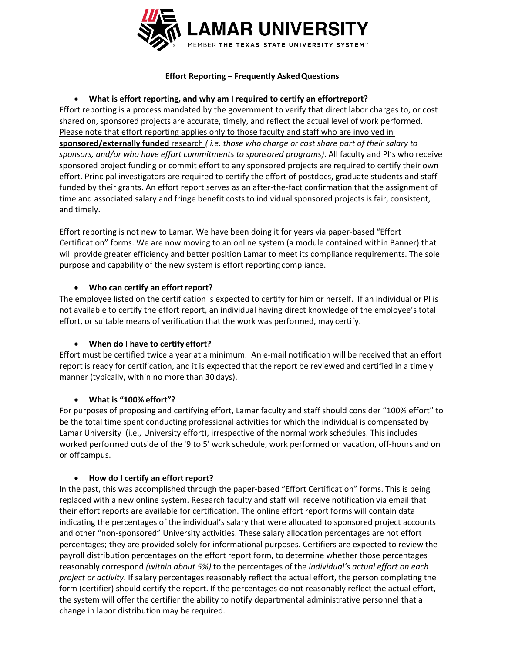

# **Effort Reporting – Frequently AskedQuestions**

# **What is effort reporting, and why am I required to certify an effort report?**

Effort reporting is a process mandated by the government to verify that direct labor charges to, or cost shared on, sponsored projects are accurate, timely, and reflect the actual level of work performed. Please note that effort reporting applies only to those faculty and staff who are involved in **sponsored/externally funded** research *( i.e. those who charge or cost share part of their salary to sponsors, and/or who have effort commitments to sponsored programs)*. All faculty and PI's who receive sponsored project funding or commit effort to any sponsored projects are required to certify their own effort. Principal investigators are required to certify the effort of postdocs, graduate students and staff funded by their grants. An effort report serves as an after-the-fact confirmation that the assignment of time and associated salary and fringe benefit costs to individual sponsored projects is fair, consistent, and timely.

Effort reporting is not new to Lamar. We have been doing it for years via paper‐based "Effort Certification" forms. We are now moving to an online system (a module contained within Banner) that will provide greater efficiency and better position Lamar to meet its compliance requirements. The sole purpose and capability of the new system is effort reporting compliance.

### **Who can certify an effort report?**

The employee listed on the certification is expected to certify for him or herself. If an individual or PI is not available to certify the effort report, an individual having direct knowledge of the employee's total effort, or suitable means of verification that the work was performed, may certify.

### **When do I have to certify effort?**

Effort must be certified twice a year at a minimum. An e‐mail notification will be received that an effort report is ready for certification, and it is expected that the report be reviewed and certified in a timely manner (typically, within no more than 30 days).

# **What is "100% effort"?**

For purposes of proposing and certifying effort, Lamar faculty and staff should consider "100% effort" to be the total time spent conducting professional activities for which the individual is compensated by Lamar University (i.e., University effort), irrespective of the normal work schedules. This includes worked performed outside of the '9 to 5' work schedule, work performed on vacation, off-hours and on or off campus.

### **How do I certify an effort report?**

In the past, this was accomplished through the paper-based "Effort Certification" forms. This is being replaced with a new online system. Research faculty and staff will receive notification via email that their effort reports are available for certification. The online effort report forms will contain data indicating the percentages of the individual's salary that were allocated to sponsored project accounts and other "non‐sponsored" University activities. These salary allocation percentages are not effort percentages; they are provided solely for informational purposes. Certifiers are expected to review the payroll distribution percentages on the effort report form, to determine whether those percentages reasonably correspond *(within about 5%)* to the percentages of the *individual's actual effort on each project or activity*. If salary percentages reasonably reflect the actual effort, the person completing the form (certifier) should certify the report. If the percentages do not reasonably reflect the actual effort, the system will offer the certifier the ability to notify departmental administrative personnel that a change in labor distribution may be required.